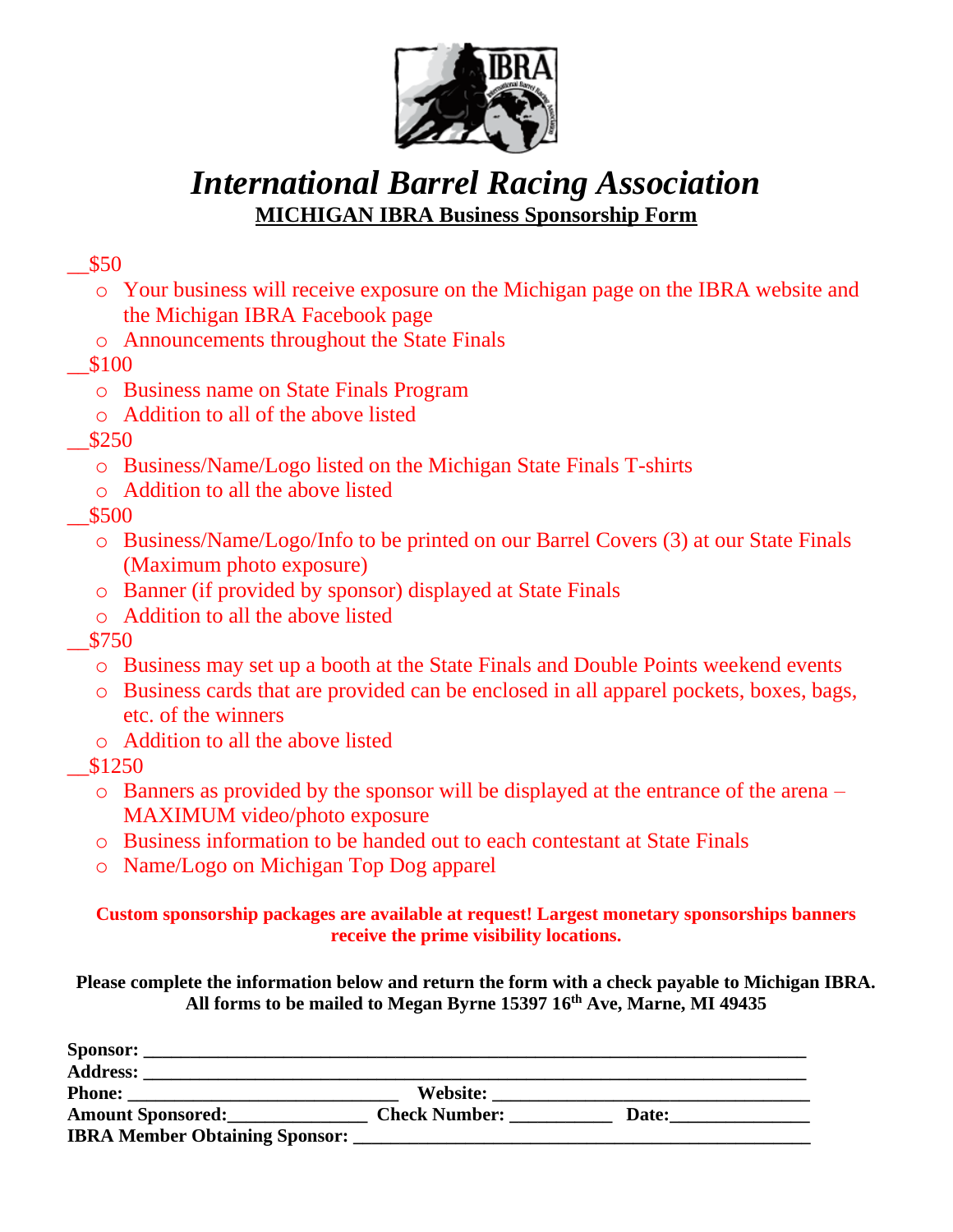

## *International Barrel Racing Association* **MICHIGAN IBRA Business Sponsorship Form**

## \_\_\$50

- o Your business will receive exposure on the Michigan page on the IBRA website and the Michigan IBRA Facebook page
- o Announcements throughout the State Finals
- \_\_\$100
	- o Business name on State Finals Program
	- o Addition to all of the above listed
- $$250$ 
	- o Business/Name/Logo listed on the Michigan State Finals T-shirts
	- o Addition to all the above listed
- \_\_\$500
	- o Business/Name/Logo/Info to be printed on our Barrel Covers (3) at our State Finals (Maximum photo exposure)
	- o Banner (if provided by sponsor) displayed at State Finals
	- o Addition to all the above listed
- \_\_\$750
	- o Business may set up a booth at the State Finals and Double Points weekend events
	- o Business cards that are provided can be enclosed in all apparel pockets, boxes, bags, etc. of the winners
	- o Addition to all the above listed
- \_\_\$1250
	- o Banners as provided by the sponsor will be displayed at the entrance of the arena MAXIMUM video/photo exposure
	- o Business information to be handed out to each contestant at State Finals
	- o Name/Logo on Michigan Top Dog apparel

## **Custom sponsorship packages are available at request! Largest monetary sponsorships banners receive the prime visibility locations.**

**Please complete the information below and return the form with a check payable to Michigan IBRA. All forms to be mailed to Megan Byrne 15397 16 th Ave, Marne, MI 49435**

| Sponsor:                              |                      |       |  |
|---------------------------------------|----------------------|-------|--|
| <b>Address:</b>                       |                      |       |  |
| <b>Phone:</b>                         | Website:             |       |  |
| <b>Amount Sponsored:</b>              | <b>Check Number:</b> | Date: |  |
| <b>IBRA Member Obtaining Sponsor:</b> |                      |       |  |